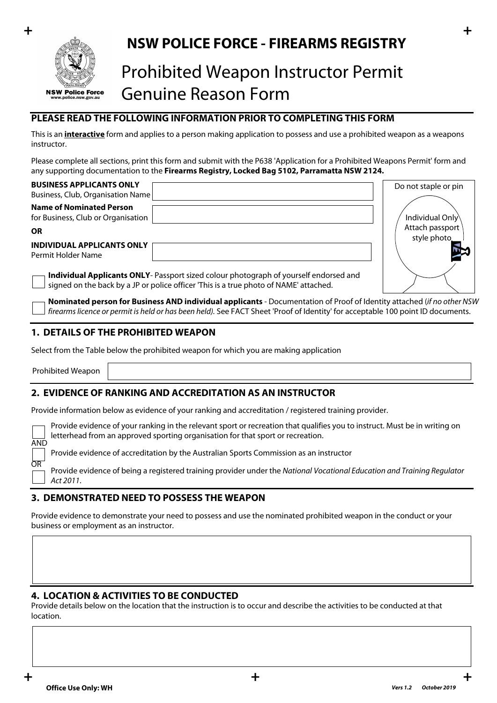

## **+ + NSW POLICE FORCE - FIREARMS REGISTRY**

# Prohibited Weapon Instructor Permit Genuine Reason Form

## **PLEASE READ THE FOLLOWING INFORMATION PRIOR TO COMPLETING THIS FORM**

This is an **interactive** form and applies to a person making application to possess and use a prohibited weapon as a weapons instructor.

Please complete all sections, print this form and submit with the P638 'Application for a Prohibited Weapons Permit' form and any supporting documentation to the **Firearms Registry, Locked Bag 5102, Parramatta NSW 2124.**

| <b>BUSINESS APPLICANTS ONLY</b><br>Business, Club, Organisation Name                                                                                                           | Do not staple or pin            |
|--------------------------------------------------------------------------------------------------------------------------------------------------------------------------------|---------------------------------|
| <b>Name of Nominated Person</b><br>for Business, Club or Organisation                                                                                                          | Individual Only                 |
| ΟR<br>INDIVIDUAL APPLICANTS ONLY                                                                                                                                               | Attach passport<br>style photo. |
| Permit Holder Name                                                                                                                                                             |                                 |
| Individual Applicants ONLY- Passport sized colour photograph of yourself endorsed and<br>signed on the back by a JP or police officer 'This is a true photo of NAME' attached. |                                 |

**Nominated person for Business AND individual applicants** - Documentation of Proof of Identity attached (*if no other NSW firearms licence or permit is held or has been held).* See FACT Sheet 'Proof of Identity' for acceptable 100 point ID documents.

#### **1. DETAILS OF THE PROHIBITED WEAPON**

Select from the Table below the prohibited weapon for which you are making application

Prohibited Weapon

OR

#### **2. EVIDENCE OF RANKING AND ACCREDITATION AS AN INSTRUCTOR**

Provide information below as evidence of your ranking and accreditation / registered training provider.

Provide evidence of your ranking in the relevant sport or recreation that qualifies you to instruct. Must be in writing on letterhead from an approved sporting organisation for that sport or recreation. AND

Provide evidence of accreditation by the Australian Sports Commission as an instructor

Provide evidence of being a registered training provider under the *National Vocational Education and Training Regulator Act 2011*.

#### **3. DEMONSTRATED NEED TO POSSESS THE WEAPON**

Provide evidence to demonstrate your need to possess and use the nominated prohibited weapon in the conduct or your business or employment as an instructor.

#### **4. LOCATION & ACTIVITIES TO BE CONDUCTED**

Provide details below on the location that the instruction is to occur and describe the activities to be conducted at that location.

 $\left. \right. \bullet$